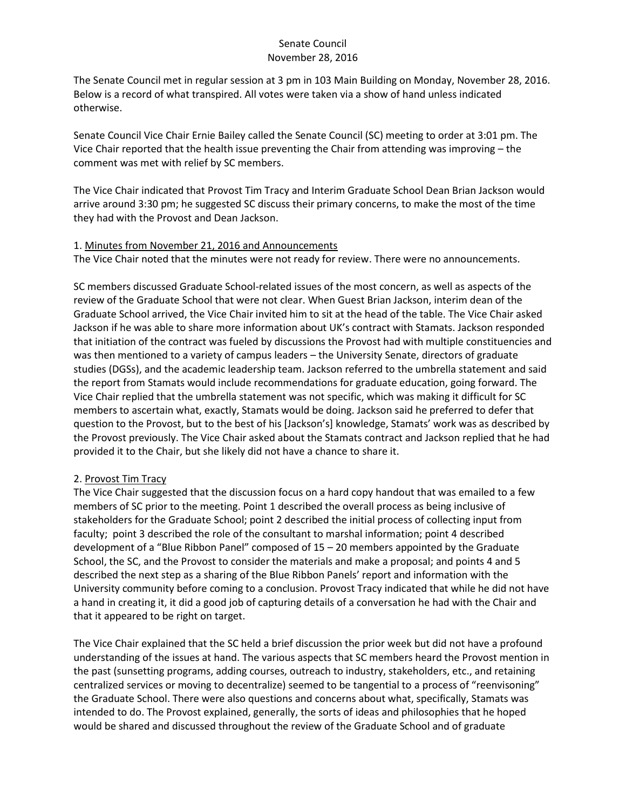The Senate Council met in regular session at 3 pm in 103 Main Building on Monday, November 28, 2016. Below is a record of what transpired. All votes were taken via a show of hand unless indicated otherwise.

Senate Council Vice Chair Ernie Bailey called the Senate Council (SC) meeting to order at 3:01 pm. The Vice Chair reported that the health issue preventing the Chair from attending was improving – the comment was met with relief by SC members.

The Vice Chair indicated that Provost Tim Tracy and Interim Graduate School Dean Brian Jackson would arrive around 3:30 pm; he suggested SC discuss their primary concerns, to make the most of the time they had with the Provost and Dean Jackson.

#### 1. Minutes from November 21, 2016 and Announcements

The Vice Chair noted that the minutes were not ready for review. There were no announcements.

SC members discussed Graduate School-related issues of the most concern, as well as aspects of the review of the Graduate School that were not clear. When Guest Brian Jackson, interim dean of the Graduate School arrived, the Vice Chair invited him to sit at the head of the table. The Vice Chair asked Jackson if he was able to share more information about UK's contract with Stamats. Jackson responded that initiation of the contract was fueled by discussions the Provost had with multiple constituencies and was then mentioned to a variety of campus leaders – the University Senate, directors of graduate studies (DGSs), and the academic leadership team. Jackson referred to the umbrella statement and said the report from Stamats would include recommendations for graduate education, going forward. The Vice Chair replied that the umbrella statement was not specific, which was making it difficult for SC members to ascertain what, exactly, Stamats would be doing. Jackson said he preferred to defer that question to the Provost, but to the best of his [Jackson's] knowledge, Stamats' work was as described by the Provost previously. The Vice Chair asked about the Stamats contract and Jackson replied that he had provided it to the Chair, but she likely did not have a chance to share it.

## 2. Provost Tim Tracy

The Vice Chair suggested that the discussion focus on a hard copy handout that was emailed to a few members of SC prior to the meeting. Point 1 described the overall process as being inclusive of stakeholders for the Graduate School; point 2 described the initial process of collecting input from faculty; point 3 described the role of the consultant to marshal information; point 4 described development of a "Blue Ribbon Panel" composed of 15 – 20 members appointed by the Graduate School, the SC, and the Provost to consider the materials and make a proposal; and points 4 and 5 described the next step as a sharing of the Blue Ribbon Panels' report and information with the University community before coming to a conclusion. Provost Tracy indicated that while he did not have a hand in creating it, it did a good job of capturing details of a conversation he had with the Chair and that it appeared to be right on target.

The Vice Chair explained that the SC held a brief discussion the prior week but did not have a profound understanding of the issues at hand. The various aspects that SC members heard the Provost mention in the past (sunsetting programs, adding courses, outreach to industry, stakeholders, etc., and retaining centralized services or moving to decentralize) seemed to be tangential to a process of "reenvisoning" the Graduate School. There were also questions and concerns about what, specifically, Stamats was intended to do. The Provost explained, generally, the sorts of ideas and philosophies that he hoped would be shared and discussed throughout the review of the Graduate School and of graduate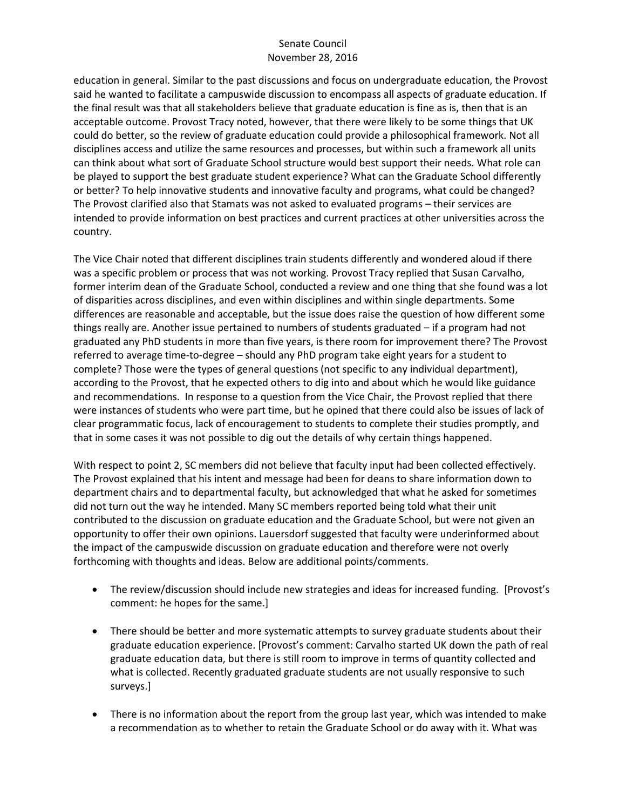education in general. Similar to the past discussions and focus on undergraduate education, the Provost said he wanted to facilitate a campuswide discussion to encompass all aspects of graduate education. If the final result was that all stakeholders believe that graduate education is fine as is, then that is an acceptable outcome. Provost Tracy noted, however, that there were likely to be some things that UK could do better, so the review of graduate education could provide a philosophical framework. Not all disciplines access and utilize the same resources and processes, but within such a framework all units can think about what sort of Graduate School structure would best support their needs. What role can be played to support the best graduate student experience? What can the Graduate School differently or better? To help innovative students and innovative faculty and programs, what could be changed? The Provost clarified also that Stamats was not asked to evaluated programs – their services are intended to provide information on best practices and current practices at other universities across the country.

The Vice Chair noted that different disciplines train students differently and wondered aloud if there was a specific problem or process that was not working. Provost Tracy replied that Susan Carvalho, former interim dean of the Graduate School, conducted a review and one thing that she found was a lot of disparities across disciplines, and even within disciplines and within single departments. Some differences are reasonable and acceptable, but the issue does raise the question of how different some things really are. Another issue pertained to numbers of students graduated – if a program had not graduated any PhD students in more than five years, is there room for improvement there? The Provost referred to average time-to-degree – should any PhD program take eight years for a student to complete? Those were the types of general questions (not specific to any individual department), according to the Provost, that he expected others to dig into and about which he would like guidance and recommendations. In response to a question from the Vice Chair, the Provost replied that there were instances of students who were part time, but he opined that there could also be issues of lack of clear programmatic focus, lack of encouragement to students to complete their studies promptly, and that in some cases it was not possible to dig out the details of why certain things happened.

With respect to point 2, SC members did not believe that faculty input had been collected effectively. The Provost explained that his intent and message had been for deans to share information down to department chairs and to departmental faculty, but acknowledged that what he asked for sometimes did not turn out the way he intended. Many SC members reported being told what their unit contributed to the discussion on graduate education and the Graduate School, but were not given an opportunity to offer their own opinions. Lauersdorf suggested that faculty were underinformed about the impact of the campuswide discussion on graduate education and therefore were not overly forthcoming with thoughts and ideas. Below are additional points/comments.

- The review/discussion should include new strategies and ideas for increased funding. [Provost's comment: he hopes for the same.]
- There should be better and more systematic attempts to survey graduate students about their graduate education experience. [Provost's comment: Carvalho started UK down the path of real graduate education data, but there is still room to improve in terms of quantity collected and what is collected. Recently graduated graduate students are not usually responsive to such surveys.]
- There is no information about the report from the group last year, which was intended to make a recommendation as to whether to retain the Graduate School or do away with it. What was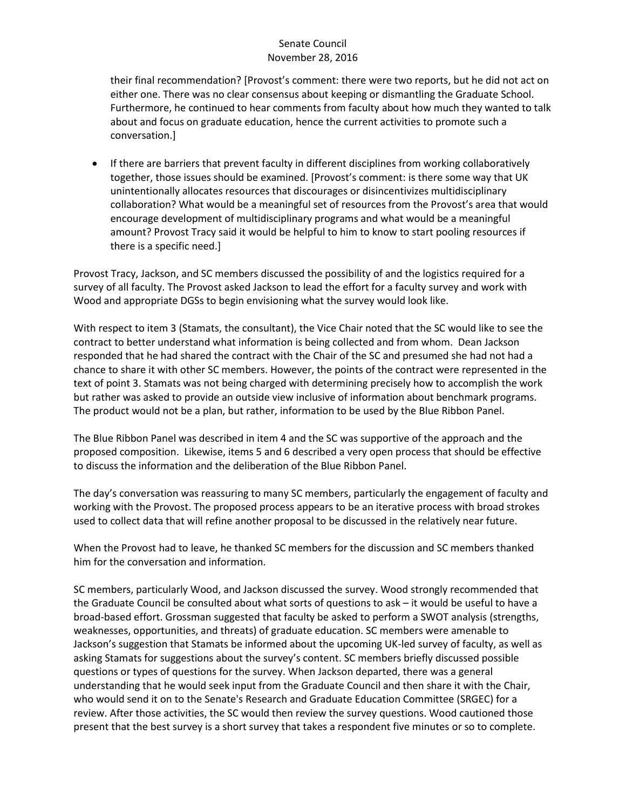their final recommendation? [Provost's comment: there were two reports, but he did not act on either one. There was no clear consensus about keeping or dismantling the Graduate School. Furthermore, he continued to hear comments from faculty about how much they wanted to talk about and focus on graduate education, hence the current activities to promote such a conversation.]

 If there are barriers that prevent faculty in different disciplines from working collaboratively together, those issues should be examined. [Provost's comment: is there some way that UK unintentionally allocates resources that discourages or disincentivizes multidisciplinary collaboration? What would be a meaningful set of resources from the Provost's area that would encourage development of multidisciplinary programs and what would be a meaningful amount? Provost Tracy said it would be helpful to him to know to start pooling resources if there is a specific need.]

Provost Tracy, Jackson, and SC members discussed the possibility of and the logistics required for a survey of all faculty. The Provost asked Jackson to lead the effort for a faculty survey and work with Wood and appropriate DGSs to begin envisioning what the survey would look like.

With respect to item 3 (Stamats, the consultant), the Vice Chair noted that the SC would like to see the contract to better understand what information is being collected and from whom. Dean Jackson responded that he had shared the contract with the Chair of the SC and presumed she had not had a chance to share it with other SC members. However, the points of the contract were represented in the text of point 3. Stamats was not being charged with determining precisely how to accomplish the work but rather was asked to provide an outside view inclusive of information about benchmark programs. The product would not be a plan, but rather, information to be used by the Blue Ribbon Panel.

The Blue Ribbon Panel was described in item 4 and the SC was supportive of the approach and the proposed composition. Likewise, items 5 and 6 described a very open process that should be effective to discuss the information and the deliberation of the Blue Ribbon Panel.

The day's conversation was reassuring to many SC members, particularly the engagement of faculty and working with the Provost. The proposed process appears to be an iterative process with broad strokes used to collect data that will refine another proposal to be discussed in the relatively near future.

When the Provost had to leave, he thanked SC members for the discussion and SC members thanked him for the conversation and information.

SC members, particularly Wood, and Jackson discussed the survey. Wood strongly recommended that the Graduate Council be consulted about what sorts of questions to ask – it would be useful to have a broad-based effort. Grossman suggested that faculty be asked to perform a SWOT analysis (strengths, weaknesses, opportunities, and threats) of graduate education. SC members were amenable to Jackson's suggestion that Stamats be informed about the upcoming UK-led survey of faculty, as well as asking Stamats for suggestions about the survey's content. SC members briefly discussed possible questions or types of questions for the survey. When Jackson departed, there was a general understanding that he would seek input from the Graduate Council and then share it with the Chair, who would send it on to the Senate's Research and Graduate Education Committee (SRGEC) for a review. After those activities, the SC would then review the survey questions. Wood cautioned those present that the best survey is a short survey that takes a respondent five minutes or so to complete.